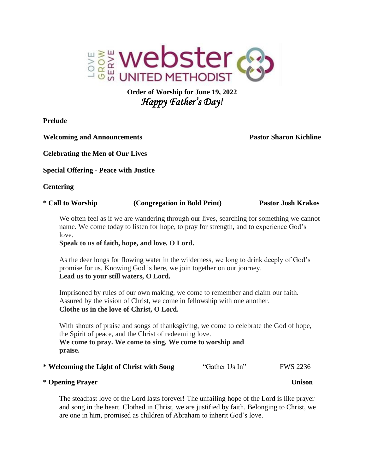

# **Order of Worship for June 19, 2022** *Happy Father's Day!*

**Prelude** 

**Welcoming and Announcements Pastor Sharon Kichline**

**Celebrating the Men of Our Lives**

**Special Offering - Peace with Justice**

**Centering** 

| * Call to Worship | (Congregation in Bold Print) | <b>Pastor Josh Krakos</b> |
|-------------------|------------------------------|---------------------------|
|                   |                              |                           |

We often feel as if we are wandering through our lives, searching for something we cannot name. We come today to listen for hope, to pray for strength, and to experience God's love.

**Speak to us of faith, hope, and love, O Lord.**

As the deer longs for flowing water in the wilderness, we long to drink deeply of God's promise for us. Knowing God is here, we join together on our journey. **Lead us to your still waters, O Lord.**

Imprisoned by rules of our own making, we come to remember and claim our faith. Assured by the vision of Christ, we come in fellowship with one another. **Clothe us in the love of Christ, O Lord.**

With shouts of praise and songs of thanksgiving, we come to celebrate the God of hope, the Spirit of peace, and the Christ of redeeming love. **We come to pray. We come to sing. We come to worship and praise.** 

| * Welcoming the Light of Christ with Song | "Gather Us In" | <b>FWS 2236</b> |
|-------------------------------------------|----------------|-----------------|
|-------------------------------------------|----------------|-----------------|

# **\* Opening Prayer Unison**

The steadfast love of the Lord lasts forever! The unfailing hope of the Lord is like prayer and song in the heart. Clothed in Christ, we are justified by faith. Belonging to Christ, we are one in him, promised as children of Abraham to inherit God's love.